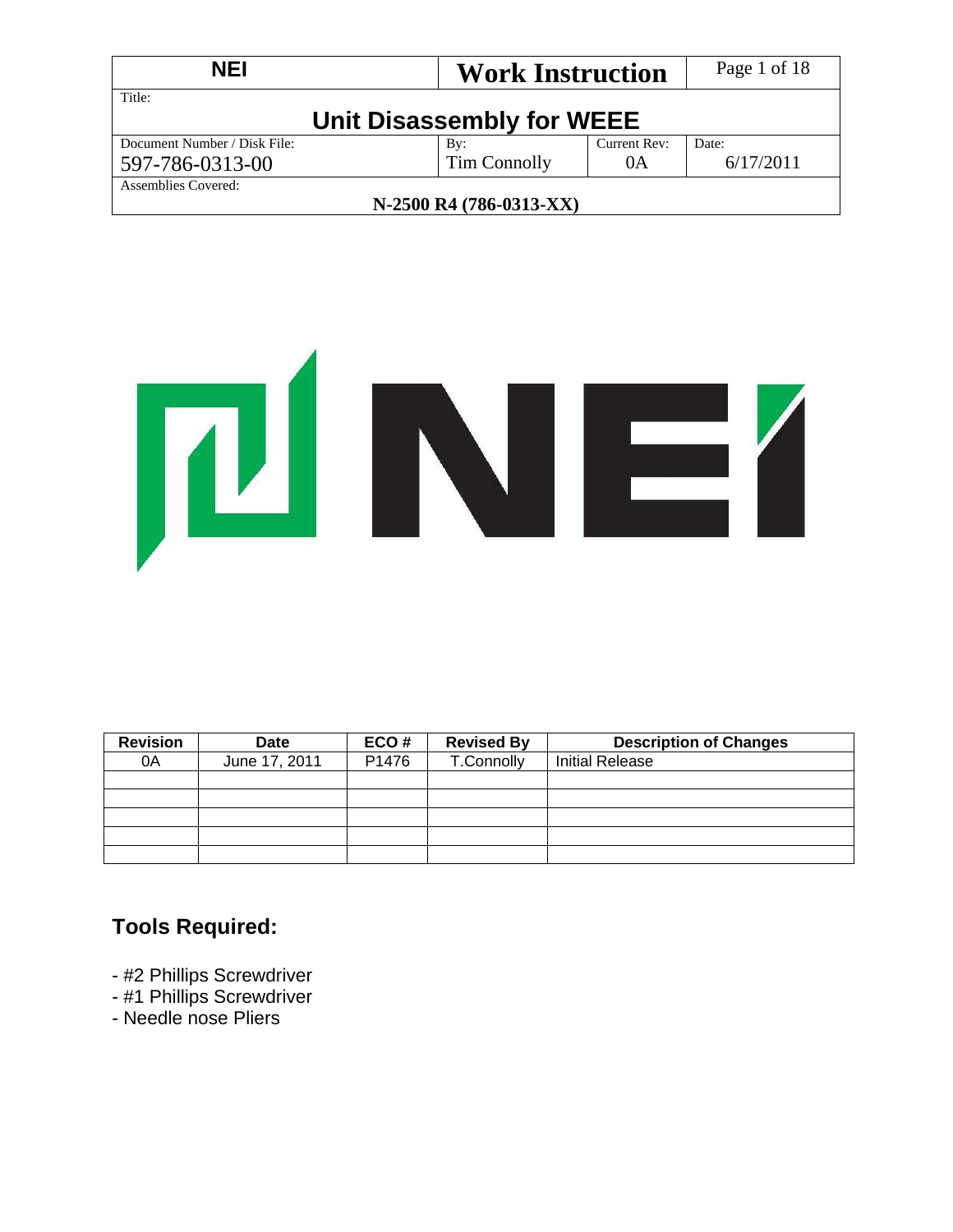| <b>NEI</b><br><b>Work Instruction</b> |                           | Page 1 of 18 |           |  |  |
|---------------------------------------|---------------------------|--------------|-----------|--|--|
| Title:                                | Unit Disassembly for WEEE |              |           |  |  |
| Document Number / Disk File:          | By:                       | Current Rev: | Date:     |  |  |
| 597-786-0313-00                       | Tim Connolly              | 0A           | 6/17/2011 |  |  |
| Assemblies Covered:                   |                           |              |           |  |  |
| N-2500 R4 (786-0313-XX)               |                           |              |           |  |  |



| <b>Revision</b> | <b>Date</b>   | ECO#  | <b>Revised By</b> | <b>Description of Changes</b> |
|-----------------|---------------|-------|-------------------|-------------------------------|
| 0A              | June 17, 2011 | P1476 | T.Connolly        | <b>Initial Release</b>        |
|                 |               |       |                   |                               |
|                 |               |       |                   |                               |
|                 |               |       |                   |                               |
|                 |               |       |                   |                               |
|                 |               |       |                   |                               |

## **Tools Required:**

- #2 Phillips Screwdriver
- #1 Phillips Screwdriver
- Needle nose Pliers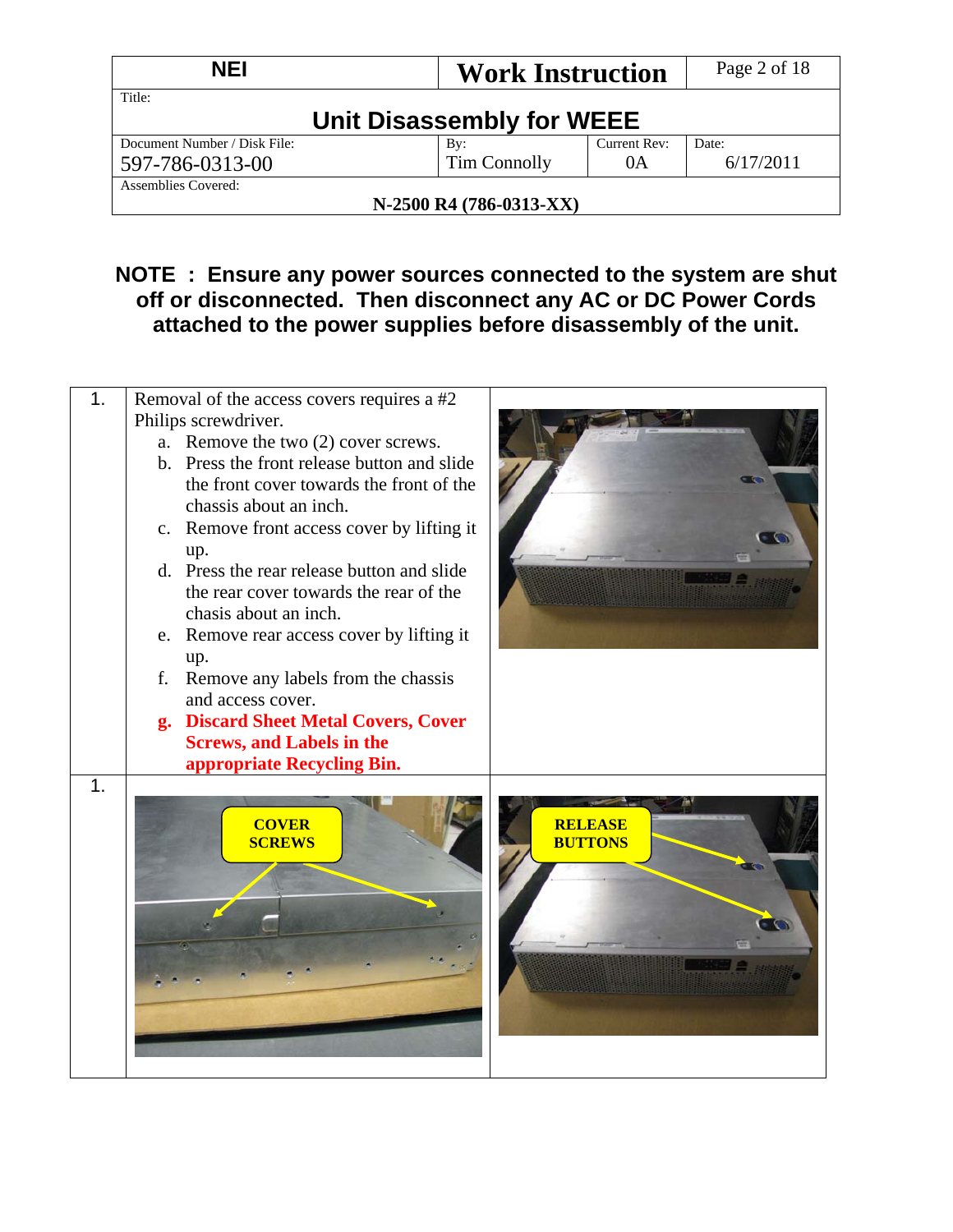| <b>NEI</b><br><b>Work Instruction</b> |                           | Page 2 of 18       |       |  |  |
|---------------------------------------|---------------------------|--------------------|-------|--|--|
| Title:                                | Unit Disassembly for WEEE |                    |       |  |  |
| Document Number / Disk File:          | By:<br>Tim Connolly       | Current Rev:<br>0A | Date: |  |  |
| 597-786-0313-00                       | 6/17/2011                 |                    |       |  |  |
| Assemblies Covered:                   |                           |                    |       |  |  |
| N-2500 R4 (786-0313-XX)               |                           |                    |       |  |  |

## **NOTE : Ensure any power sources connected to the system are shut off or disconnected. Then disconnect any AC or DC Power Cords attached to the power supplies before disassembly of the unit.**

| 1. | Removal of the access covers requires a #2                                              |                                  |
|----|-----------------------------------------------------------------------------------------|----------------------------------|
|    | Philips screwdriver.                                                                    |                                  |
|    | a. Remove the two (2) cover screws.                                                     |                                  |
|    | b. Press the front release button and slide<br>the front cover towards the front of the |                                  |
|    | chassis about an inch.                                                                  |                                  |
|    | c. Remove front access cover by lifting it                                              |                                  |
|    | up.                                                                                     |                                  |
|    | d. Press the rear release button and slide                                              |                                  |
|    | the rear cover towards the rear of the                                                  |                                  |
|    | chasis about an inch.                                                                   |                                  |
|    | e. Remove rear access cover by lifting it                                               |                                  |
|    | up.<br>Remove any labels from the chassis<br>f.                                         |                                  |
|    | and access cover.                                                                       |                                  |
|    | g. Discard Sheet Metal Covers, Cover                                                    |                                  |
|    | <b>Screws, and Labels in the</b>                                                        |                                  |
|    | appropriate Recycling Bin.                                                              |                                  |
| 1. | <b>COVER</b><br><b>SCREWS</b>                                                           | <b>RELEASE</b><br><b>BUTTONS</b> |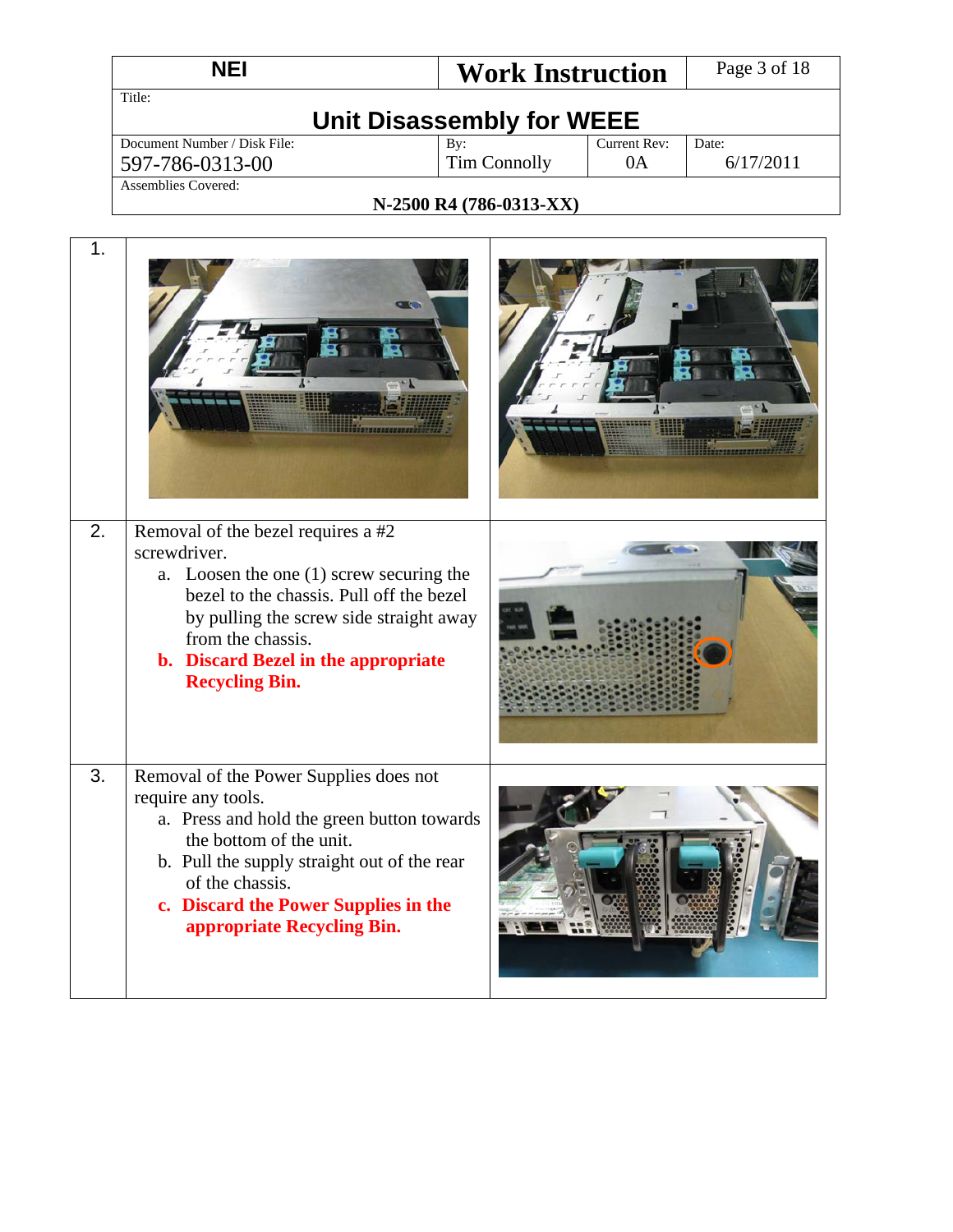| <b>NEI</b><br><b>Work Instruction</b> |              |              | Page 3 of 18 |  |  |
|---------------------------------------|--------------|--------------|--------------|--|--|
| Title:                                |              |              |              |  |  |
| Unit Disassembly for WEEE             |              |              |              |  |  |
| Document Number / Disk File:          | By:          | Current Rev: | Date:        |  |  |
| 597-786-0313-00                       | Tim Connolly | 0A           | 6/17/2011    |  |  |
| Assemblies Covered:                   |              |              |              |  |  |

#### **N-2500 R4 (786-0313-XX)**

٦

| 1. | $\bullet$ $\bullet$                                                                                                                                                                                                                                                           |  |
|----|-------------------------------------------------------------------------------------------------------------------------------------------------------------------------------------------------------------------------------------------------------------------------------|--|
| 2. | Removal of the bezel requires a #2<br>screwdriver.<br>a. Loosen the one $(1)$ screw securing the<br>bezel to the chassis. Pull off the bezel<br>by pulling the screw side straight away<br>from the chassis.<br>b. Discard Bezel in the appropriate<br><b>Recycling Bin.</b>  |  |
| 3. | Removal of the Power Supplies does not<br>require any tools.<br>a. Press and hold the green button towards<br>the bottom of the unit.<br>b. Pull the supply straight out of the rear<br>of the chassis.<br>c. Discard the Power Supplies in the<br>appropriate Recycling Bin. |  |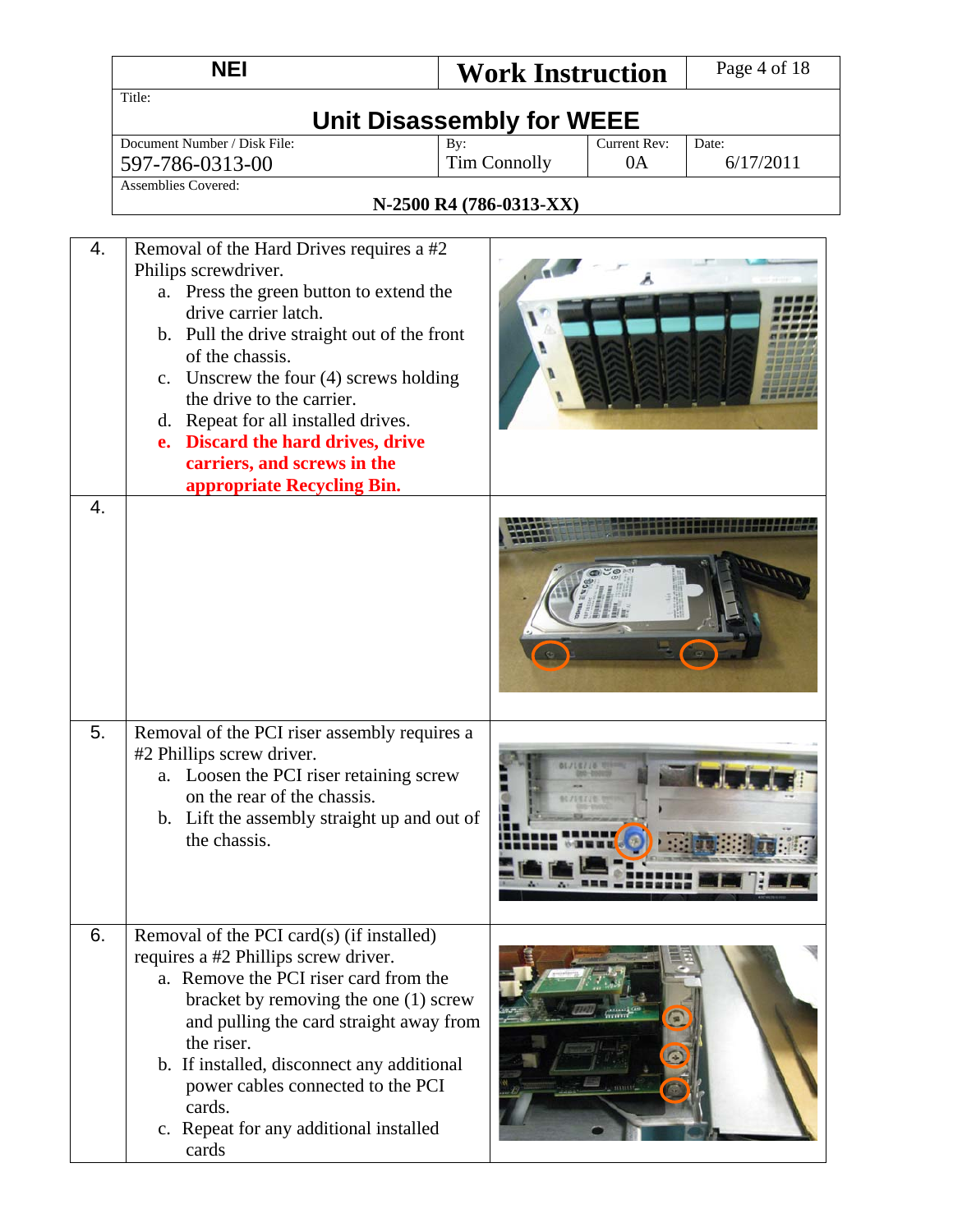|    | <b>NEI</b>                                                                                                                                                                                                                                                                                                                                                                                                            | <b>Work Instruction</b>    |                    | Page 4 of 18       |  |  |  |
|----|-----------------------------------------------------------------------------------------------------------------------------------------------------------------------------------------------------------------------------------------------------------------------------------------------------------------------------------------------------------------------------------------------------------------------|----------------------------|--------------------|--------------------|--|--|--|
|    | Title:<br><b>Unit Disassembly for WEEE</b>                                                                                                                                                                                                                                                                                                                                                                            |                            |                    |                    |  |  |  |
|    | Document Number / Disk File:<br>597-786-0313-00<br><b>Assemblies Covered:</b>                                                                                                                                                                                                                                                                                                                                         | By:<br><b>Tim Connolly</b> | Current Rev:<br>0A | Date:<br>6/17/2011 |  |  |  |
|    |                                                                                                                                                                                                                                                                                                                                                                                                                       | N-2500 R4 (786-0313-XX)    |                    |                    |  |  |  |
| 4. | Removal of the Hard Drives requires a #2<br>Philips screwdriver.<br>a. Press the green button to extend the<br>drive carrier latch.<br>b. Pull the drive straight out of the front<br>of the chassis.<br>c. Unscrew the four (4) screws holding<br>the drive to the carrier.<br>d. Repeat for all installed drives.<br>e. Discard the hard drives, drive<br>carriers, and screws in the<br>appropriate Recycling Bin. |                            |                    |                    |  |  |  |
| 4. |                                                                                                                                                                                                                                                                                                                                                                                                                       |                            |                    |                    |  |  |  |
| 5. | Removal of the PCI riser assembly requires a<br>#2 Phillips screw driver.<br>a. Loosen the PCI riser retaining screw<br>on the rear of the chassis.<br>b. Lift the assembly straight up and out of<br>the chassis.                                                                                                                                                                                                    |                            |                    |                    |  |  |  |
| 6. | Removal of the PCI card(s) (if installed)<br>requires a #2 Phillips screw driver.<br>a. Remove the PCI riser card from the<br>bracket by removing the one (1) screw<br>and pulling the card straight away from<br>the riser.<br>b. If installed, disconnect any additional<br>power cables connected to the PCI<br>cards.<br>c. Repeat for any additional installed<br>cards                                          |                            |                    |                    |  |  |  |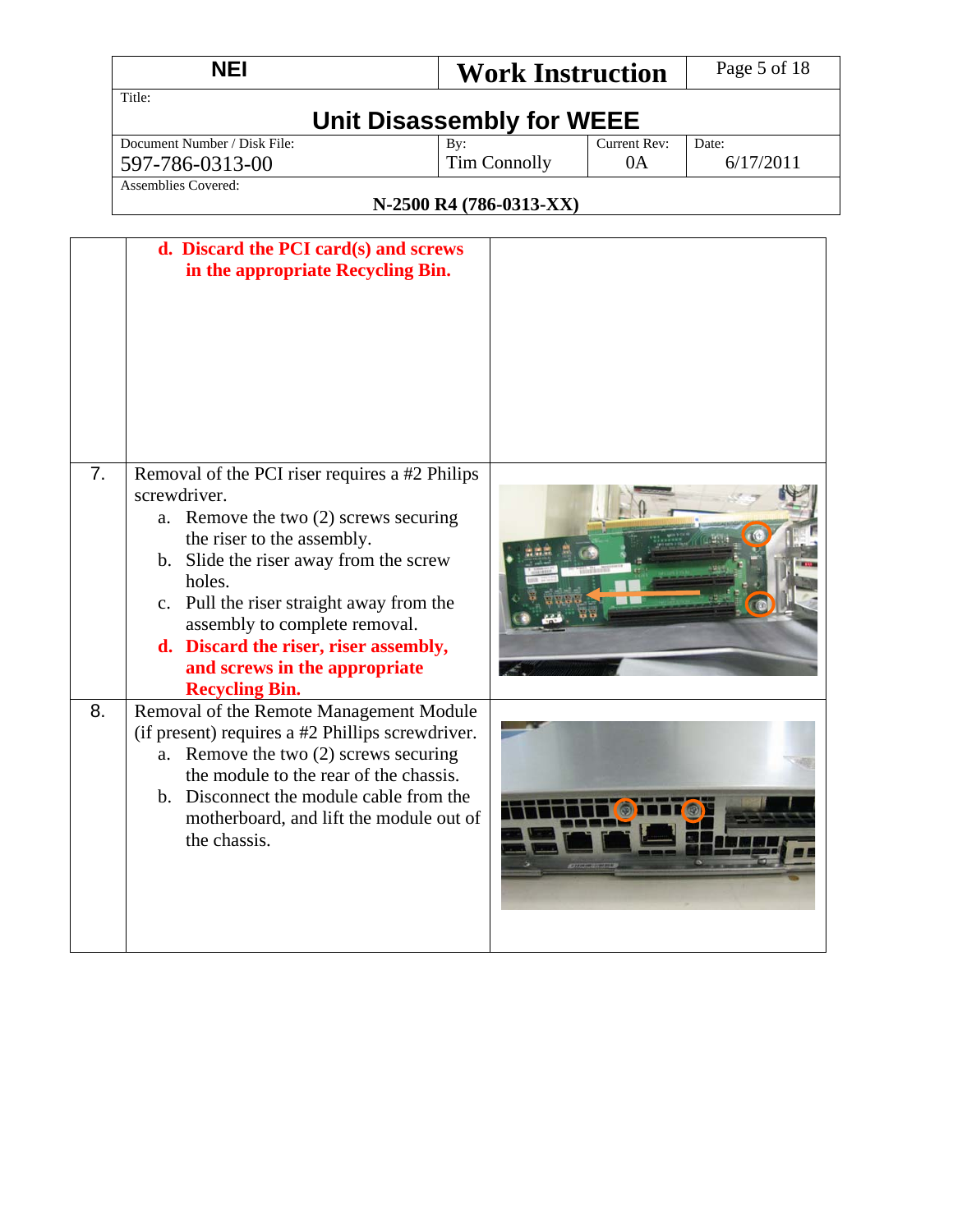|    | <b>NEI</b>                                                                                                                                                                                                                                                                                                                                                                   | <b>Work Instruction</b>                               |                    | Page 5 of 18       |  |  |  |
|----|------------------------------------------------------------------------------------------------------------------------------------------------------------------------------------------------------------------------------------------------------------------------------------------------------------------------------------------------------------------------------|-------------------------------------------------------|--------------------|--------------------|--|--|--|
|    | Title:<br><b>Unit Disassembly for WEEE</b>                                                                                                                                                                                                                                                                                                                                   |                                                       |                    |                    |  |  |  |
|    | Document Number / Disk File:<br>597-786-0313-00<br><b>Assemblies Covered:</b>                                                                                                                                                                                                                                                                                                | By:<br><b>Tim Connolly</b><br>N-2500 R4 (786-0313-XX) | Current Rev:<br>0A | Date:<br>6/17/2011 |  |  |  |
|    | d. Discard the PCI card(s) and screws<br>in the appropriate Recycling Bin.                                                                                                                                                                                                                                                                                                   |                                                       |                    |                    |  |  |  |
| 7. | Removal of the PCI riser requires a #2 Philips<br>screwdriver.<br>Remove the two (2) screws securing<br>a.<br>the riser to the assembly.<br>b. Slide the riser away from the screw<br>holes.<br>c. Pull the riser straight away from the<br>assembly to complete removal.<br>d. Discard the riser, riser assembly,<br>and screws in the appropriate<br><b>Recycling Bin.</b> |                                                       |                    |                    |  |  |  |
| 8. | Removal of the Remote Management Module<br>(if present) requires a #2 Phillips screwdriver.<br>Remove the two (2) screws securing<br>a.<br>the module to the rear of the chassis.<br>Disconnect the module cable from the<br>$\mathbf{b}$ .<br>motherboard, and lift the module out of<br>the chassis.                                                                       |                                                       |                    |                    |  |  |  |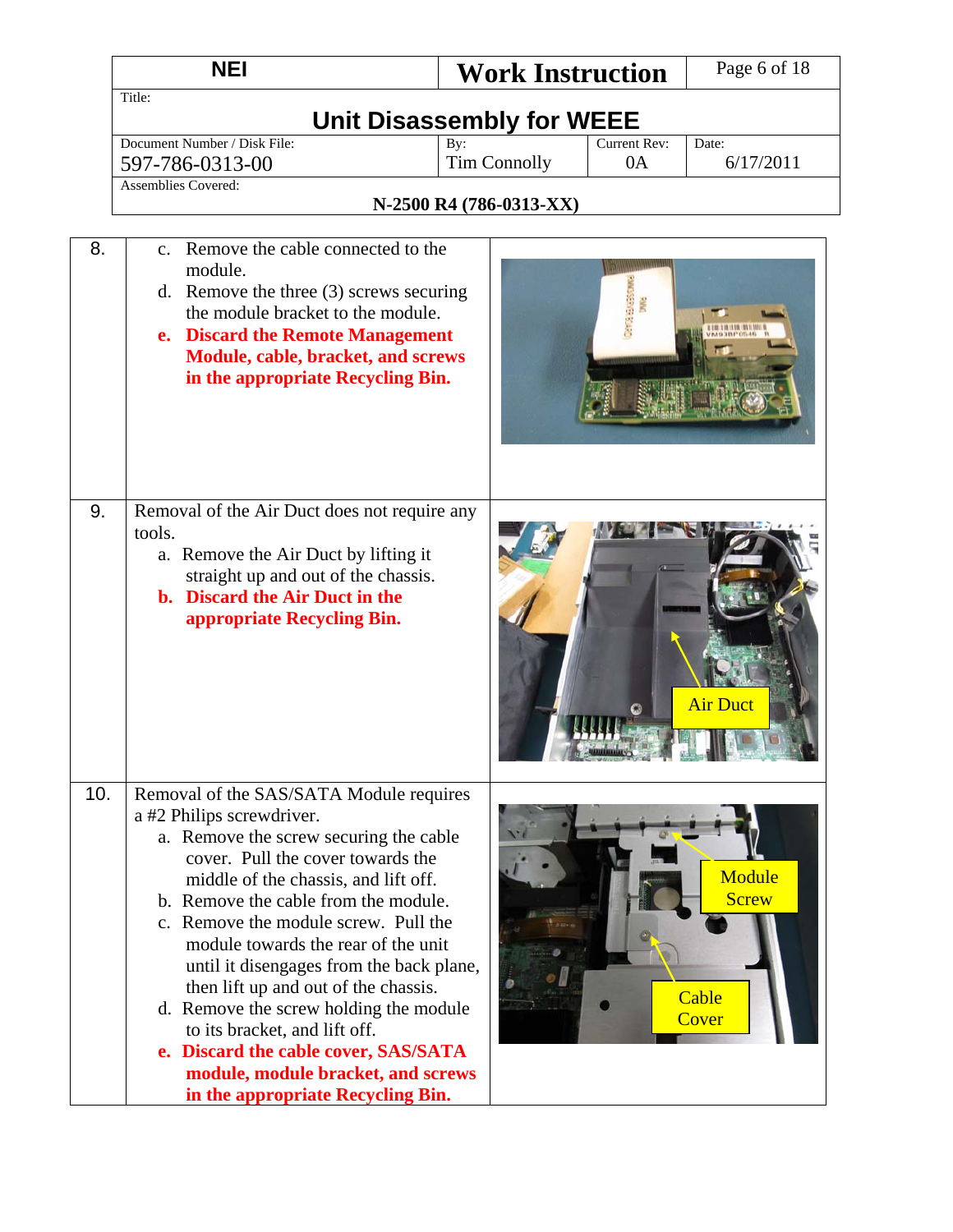|     | <b>NEI</b>                                                                                                                                                                                                                                                                                                                                                                                                                                                                                                                                                                                           | <b>Work Instruction</b>                               |                    | Page 6 of 18                             |  |  |
|-----|------------------------------------------------------------------------------------------------------------------------------------------------------------------------------------------------------------------------------------------------------------------------------------------------------------------------------------------------------------------------------------------------------------------------------------------------------------------------------------------------------------------------------------------------------------------------------------------------------|-------------------------------------------------------|--------------------|------------------------------------------|--|--|
|     | Title:<br><b>Unit Disassembly for WEEE</b>                                                                                                                                                                                                                                                                                                                                                                                                                                                                                                                                                           |                                                       |                    |                                          |  |  |
|     | Document Number / Disk File:<br>597-786-0313-00<br><b>Assemblies Covered:</b>                                                                                                                                                                                                                                                                                                                                                                                                                                                                                                                        | By:<br><b>Tim Connolly</b><br>N-2500 R4 (786-0313-XX) | Current Rev:<br>0A | Date:<br>6/17/2011                       |  |  |
| 8.  | Remove the cable connected to the<br>$c_{\cdot}$<br>module.<br>d. Remove the three $(3)$ screws securing<br>the module bracket to the module.<br>e. Discard the Remote Management<br>Module, cable, bracket, and screws<br>in the appropriate Recycling Bin.                                                                                                                                                                                                                                                                                                                                         |                                                       |                    |                                          |  |  |
| 9.  | Removal of the Air Duct does not require any<br>tools.<br>a. Remove the Air Duct by lifting it<br>straight up and out of the chassis.<br><b>b.</b> Discard the Air Duct in the<br>appropriate Recycling Bin.                                                                                                                                                                                                                                                                                                                                                                                         |                                                       |                    | <b>Air Duct</b>                          |  |  |
| 10. | Removal of the SAS/SATA Module requires<br>a #2 Philips screwdriver.<br>a. Remove the screw securing the cable<br>cover. Pull the cover towards the<br>middle of the chassis, and lift off.<br>b. Remove the cable from the module.<br>c. Remove the module screw. Pull the<br>module towards the rear of the unit<br>until it disengages from the back plane,<br>then lift up and out of the chassis.<br>d. Remove the screw holding the module<br>to its bracket, and lift off.<br>e. Discard the cable cover, SAS/SATA<br>module, module bracket, and screws<br>in the appropriate Recycling Bin. |                                                       |                    | Module<br><b>Screw</b><br>Cable<br>Cover |  |  |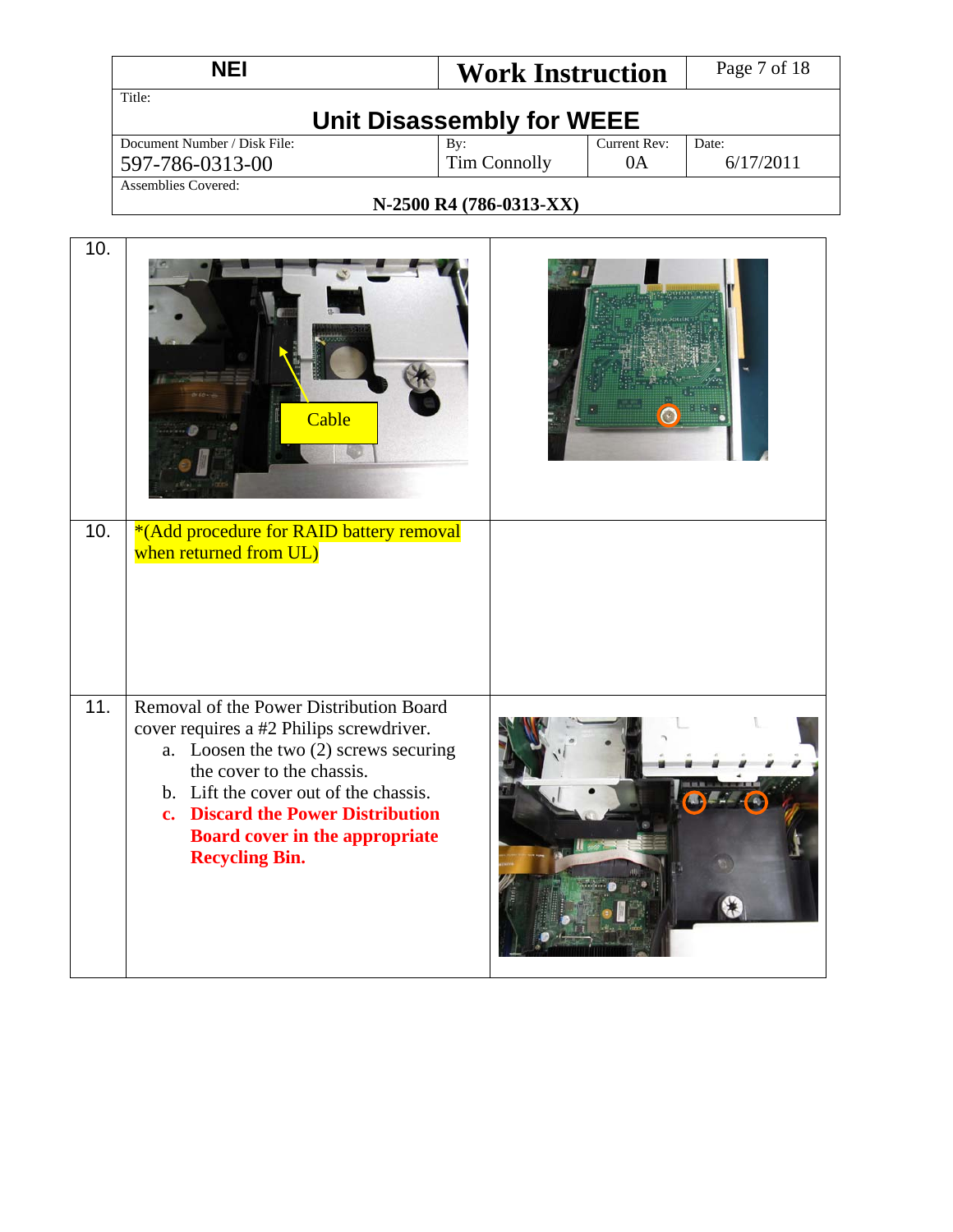|     | <b>NEI</b>                                                                                                                                                                                                                                                                                                | <b>Work Instruction</b>                                 | Page 7 of 18       |  |  |
|-----|-----------------------------------------------------------------------------------------------------------------------------------------------------------------------------------------------------------------------------------------------------------------------------------------------------------|---------------------------------------------------------|--------------------|--|--|
|     | Title:<br><b>Unit Disassembly for WEEE</b>                                                                                                                                                                                                                                                                |                                                         |                    |  |  |
|     | Document Number / Disk File:<br>597-786-0313-00                                                                                                                                                                                                                                                           | <b>Current Rev:</b><br>By:<br><b>Tim Connolly</b><br>0A | Date:<br>6/17/2011 |  |  |
|     | <b>Assemblies Covered:</b>                                                                                                                                                                                                                                                                                | N-2500 R4 (786-0313-XX)                                 |                    |  |  |
| 10. | Cable                                                                                                                                                                                                                                                                                                     |                                                         |                    |  |  |
| 10. | *(Add procedure for RAID battery removal<br>when returned from UL)                                                                                                                                                                                                                                        |                                                         |                    |  |  |
| 11. | Removal of the Power Distribution Board<br>cover requires a #2 Philips screwdriver.<br>a. Loosen the two (2) screws securing<br>the cover to the chassis.<br>b. Lift the cover out of the chassis.<br>c. Discard the Power Distribution<br><b>Board cover in the appropriate</b><br><b>Recycling Bin.</b> |                                                         |                    |  |  |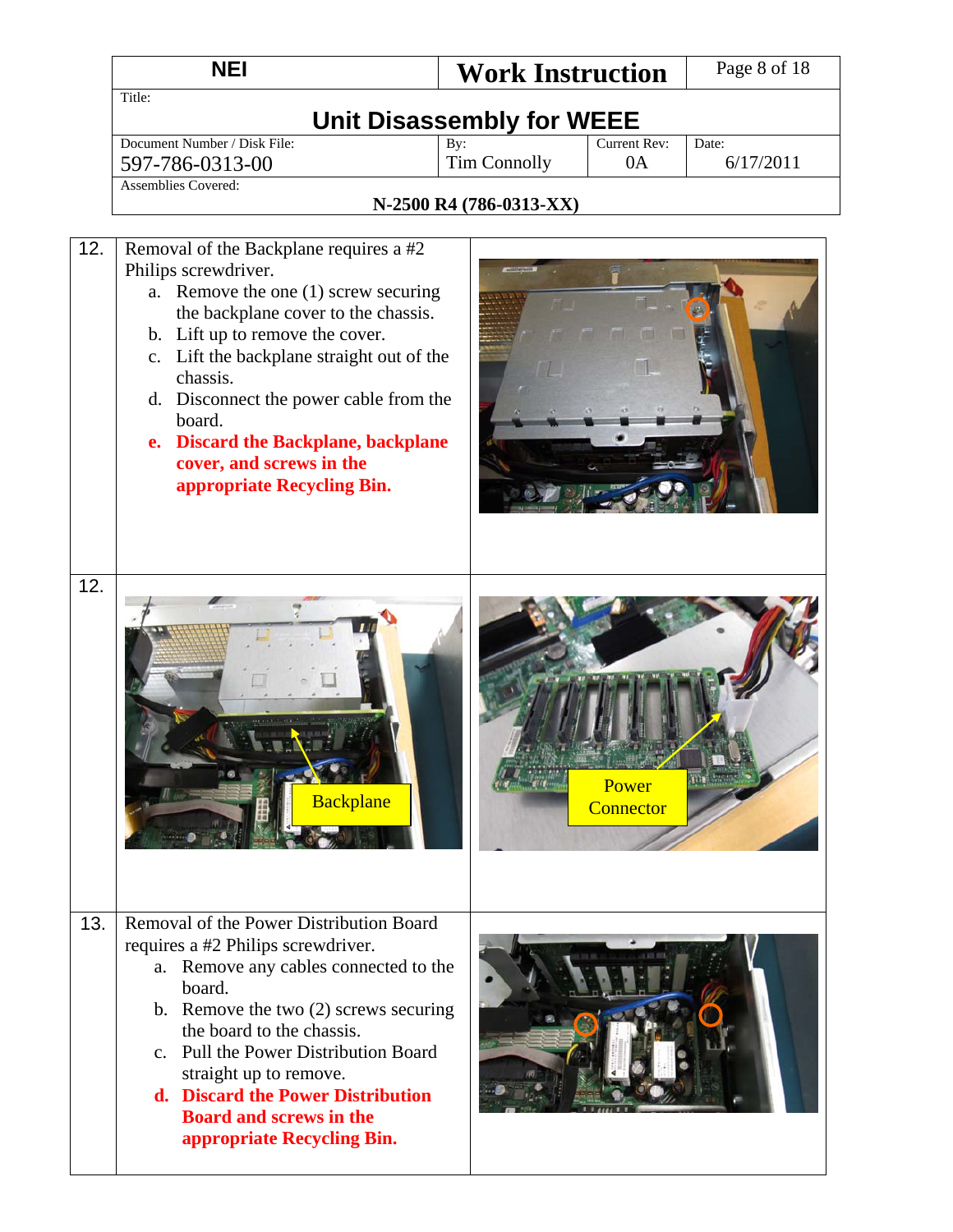|     | <b>NEI</b>                                                                                                                                                                                                                                                                                                                                                                                     | <b>Work Instruction</b>    |                    | Page 8 of 18       |  |  |
|-----|------------------------------------------------------------------------------------------------------------------------------------------------------------------------------------------------------------------------------------------------------------------------------------------------------------------------------------------------------------------------------------------------|----------------------------|--------------------|--------------------|--|--|
|     | Title:<br><b>Unit Disassembly for WEEE</b>                                                                                                                                                                                                                                                                                                                                                     |                            |                    |                    |  |  |
|     | Document Number / Disk File:<br>597-786-0313-00                                                                                                                                                                                                                                                                                                                                                | By:<br><b>Tim Connolly</b> | Current Rev:<br>0A | Date:<br>6/17/2011 |  |  |
|     | <b>Assemblies Covered:</b>                                                                                                                                                                                                                                                                                                                                                                     | N-2500 R4 (786-0313-XX)    |                    |                    |  |  |
| 12. | Removal of the Backplane requires a #2<br>Philips screwdriver.<br>a. Remove the one (1) screw securing<br>the backplane cover to the chassis.<br>b. Lift up to remove the cover.<br>c. Lift the backplane straight out of the<br>chassis.<br>d. Disconnect the power cable from the<br>board.<br>e. Discard the Backplane, backplane<br>cover, and screws in the<br>appropriate Recycling Bin. |                            |                    |                    |  |  |
| 12. | <b>Backplane</b>                                                                                                                                                                                                                                                                                                                                                                               |                            | Power<br>Connector |                    |  |  |
| 13. | Removal of the Power Distribution Board<br>requires a #2 Philips screwdriver.<br>Remove any cables connected to the<br>a.<br>board.<br>b. Remove the two $(2)$ screws securing<br>the board to the chassis.<br>c. Pull the Power Distribution Board<br>straight up to remove.<br>d. Discard the Power Distribution<br><b>Board and screws in the</b><br>appropriate Recycling Bin.             |                            |                    |                    |  |  |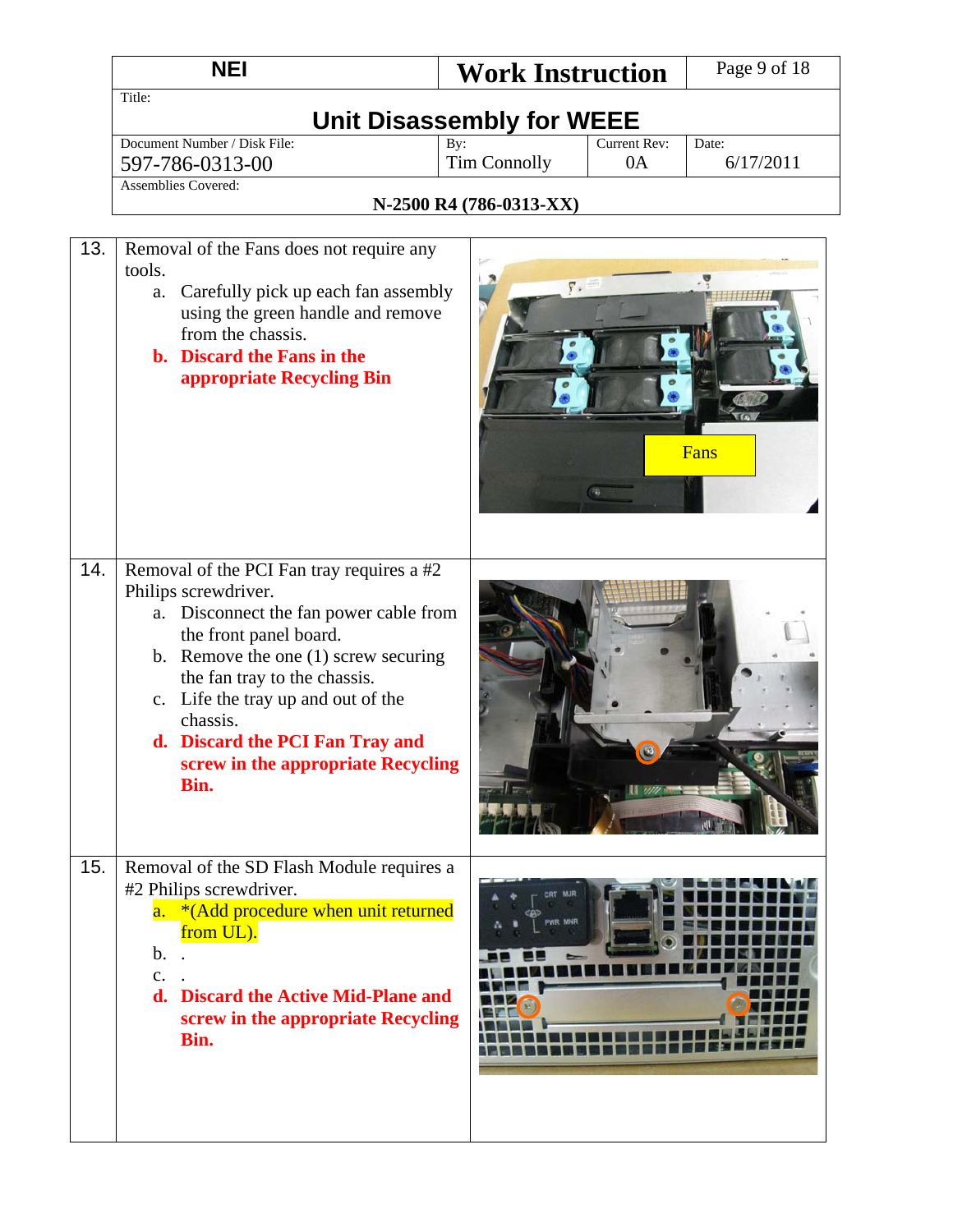|     | <b>NEI</b>                                                                                                                                                                                                                                                                                                                                            | <b>Work Instruction</b>    |                    | Page 9 of 18       |  |  |
|-----|-------------------------------------------------------------------------------------------------------------------------------------------------------------------------------------------------------------------------------------------------------------------------------------------------------------------------------------------------------|----------------------------|--------------------|--------------------|--|--|
|     | Title:<br><b>Unit Disassembly for WEEE</b>                                                                                                                                                                                                                                                                                                            |                            |                    |                    |  |  |
|     | Document Number / Disk File:<br>597-786-0313-00                                                                                                                                                                                                                                                                                                       | By:<br><b>Tim Connolly</b> | Current Rev:<br>0A | Date:<br>6/17/2011 |  |  |
|     | <b>Assemblies Covered:</b>                                                                                                                                                                                                                                                                                                                            | N-2500 R4 (786-0313-XX)    |                    |                    |  |  |
| 13. | Removal of the Fans does not require any<br>tools.<br>Carefully pick up each fan assembly<br>a.<br>using the green handle and remove<br>from the chassis.<br>b. Discard the Fans in the<br>appropriate Recycling Bin                                                                                                                                  | $\mathbf{y}$ .             |                    | Fans               |  |  |
| 14. | Removal of the PCI Fan tray requires a #2<br>Philips screwdriver.<br>Disconnect the fan power cable from<br>a.<br>the front panel board.<br>b. Remove the one $(1)$ screw securing<br>the fan tray to the chassis.<br>c. Life the tray up and out of the<br>chassis.<br>d. Discard the PCI Fan Tray and<br>screw in the appropriate Recycling<br>Bin. |                            |                    |                    |  |  |
| 15. | Removal of the SD Flash Module requires a<br>#2 Philips screwdriver.<br>a. *(Add procedure when unit returned<br>from UL).<br>$\mathbf b$ .<br>$\mathbf{c}$ .<br>d. Discard the Active Mid-Plane and<br>screw in the appropriate Recycling<br>Bin.                                                                                                    | PWR MNR                    |                    |                    |  |  |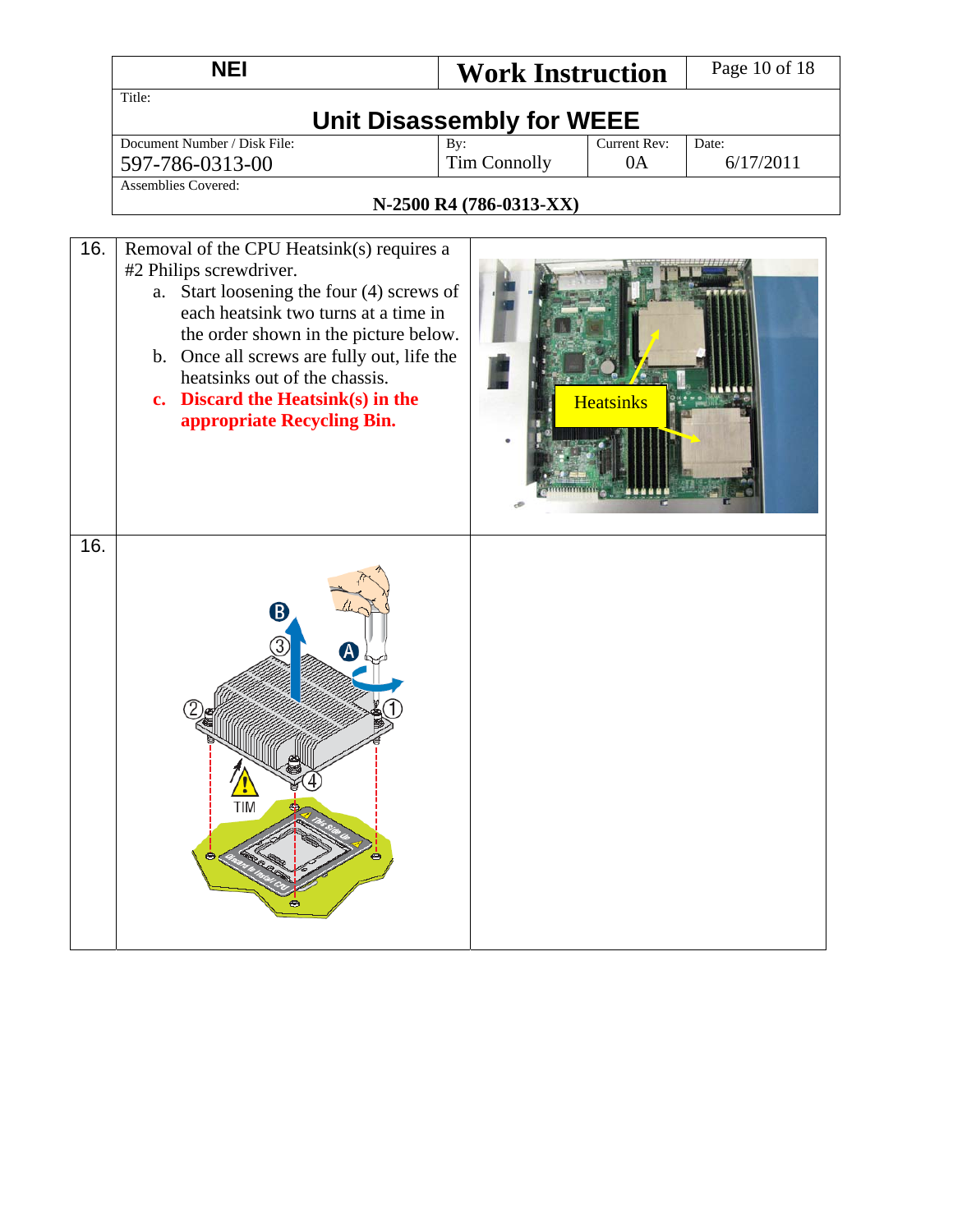|     | <b>NEI</b>                                                                                                                                                                                                                                                                                                                                                 | <b>Work Instruction</b> |                     | Page 10 of 18 |
|-----|------------------------------------------------------------------------------------------------------------------------------------------------------------------------------------------------------------------------------------------------------------------------------------------------------------------------------------------------------------|-------------------------|---------------------|---------------|
|     | Title:                                                                                                                                                                                                                                                                                                                                                     |                         |                     |               |
|     | <b>Unit Disassembly for WEEE</b>                                                                                                                                                                                                                                                                                                                           |                         |                     |               |
|     | Document Number / Disk File:                                                                                                                                                                                                                                                                                                                               | By:                     | <b>Current Rev:</b> | Date:         |
|     | 597-786-0313-00<br>Assemblies Covered:                                                                                                                                                                                                                                                                                                                     | <b>Tim Connolly</b>     | 0A                  | 6/17/2011     |
|     |                                                                                                                                                                                                                                                                                                                                                            | N-2500 R4 (786-0313-XX) |                     |               |
|     |                                                                                                                                                                                                                                                                                                                                                            |                         |                     |               |
| 16. | Removal of the CPU Heatsink(s) requires a<br>#2 Philips screwdriver.<br>Start loosening the four (4) screws of<br>a.<br>each heatsink two turns at a time in<br>the order shown in the picture below.<br>b. Once all screws are fully out, life the<br>heatsinks out of the chassis.<br>c. Discard the Heatsink $(s)$ in the<br>appropriate Recycling Bin. |                         | <b>Heatsinks</b>    |               |
| 16. | B<br>Ά<br>8<br>TIM<br>٠                                                                                                                                                                                                                                                                                                                                    |                         |                     |               |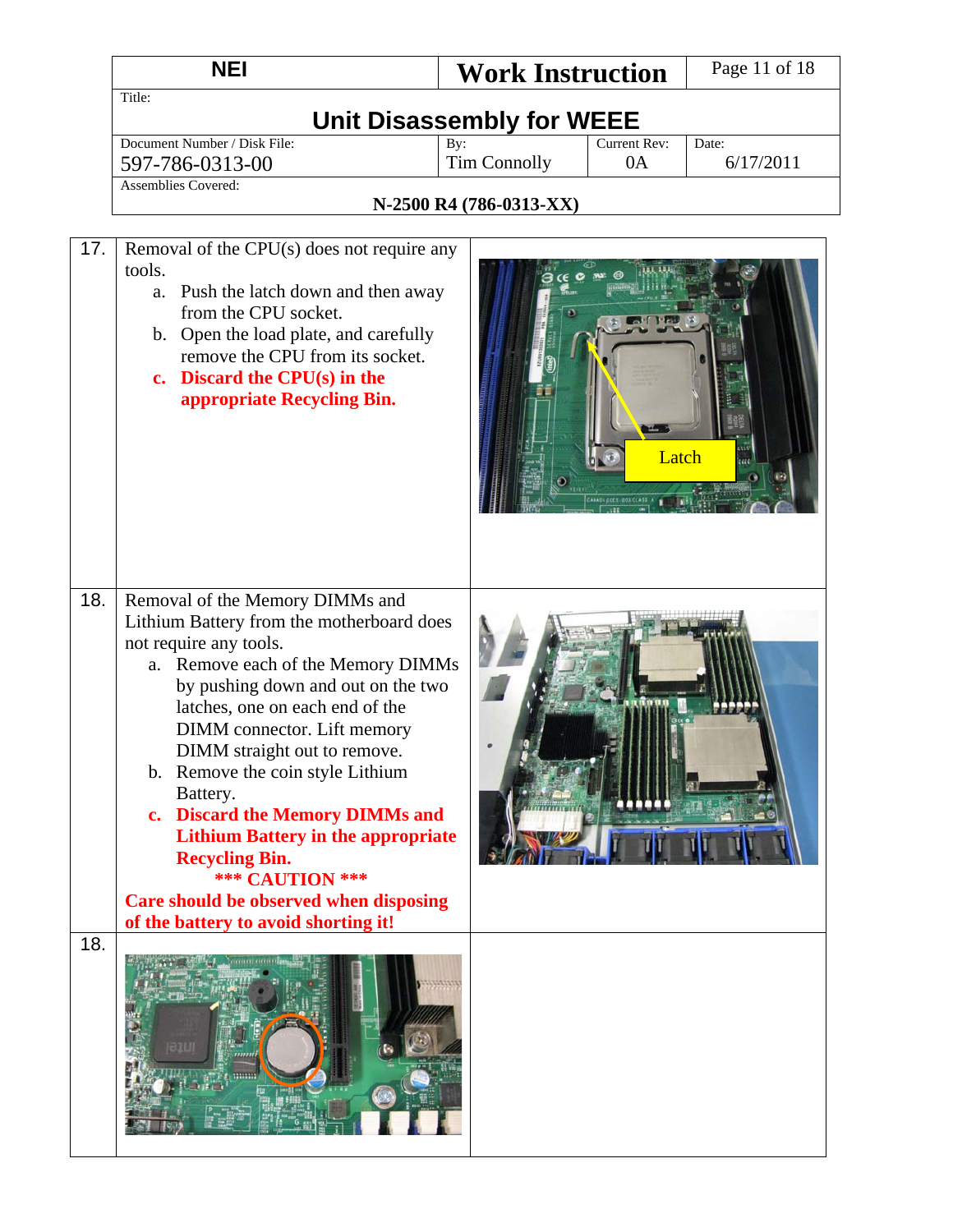|            | <b>NEI</b>                                                                                                                                                                                                                                                                                                                                                                                                                                                                                                                                                         | <b>Work Instruction</b>                          | Page 11 of 18      |
|------------|--------------------------------------------------------------------------------------------------------------------------------------------------------------------------------------------------------------------------------------------------------------------------------------------------------------------------------------------------------------------------------------------------------------------------------------------------------------------------------------------------------------------------------------------------------------------|--------------------------------------------------|--------------------|
|            | Title:<br><b>Unit Disassembly for WEEE</b>                                                                                                                                                                                                                                                                                                                                                                                                                                                                                                                         |                                                  |                    |
|            | Document Number / Disk File:<br>597-786-0313-00                                                                                                                                                                                                                                                                                                                                                                                                                                                                                                                    | Current Rev:<br>By:<br><b>Tim Connolly</b><br>0A | Date:<br>6/17/2011 |
|            | <b>Assemblies Covered:</b>                                                                                                                                                                                                                                                                                                                                                                                                                                                                                                                                         | N-2500 R4 (786-0313-XX)                          |                    |
|            |                                                                                                                                                                                                                                                                                                                                                                                                                                                                                                                                                                    |                                                  |                    |
| 17.        | Removal of the CPU(s) does not require any<br>tools.<br>Push the latch down and then away<br>a.<br>from the CPU socket.<br>b. Open the load plate, and carefully<br>remove the CPU from its socket.<br>c. Discard the $CPU(s)$ in the<br>appropriate Recycling Bin.                                                                                                                                                                                                                                                                                                | Latch                                            |                    |
| 18.<br>18. | Removal of the Memory DIMMs and<br>Lithium Battery from the motherboard does<br>not require any tools.<br>Remove each of the Memory DIMMs<br>a.<br>by pushing down and out on the two<br>latches, one on each end of the<br>DIMM connector. Lift memory<br>DIMM straight out to remove.<br>b. Remove the coin style Lithium<br>Battery.<br>c. Discard the Memory DIMMs and<br><b>Lithium Battery in the appropriate</b><br><b>Recycling Bin.</b><br><b>*** CAUTION ***</b><br>Care should be observed when disposing<br>of the battery to avoid shorting it!<br>mm |                                                  |                    |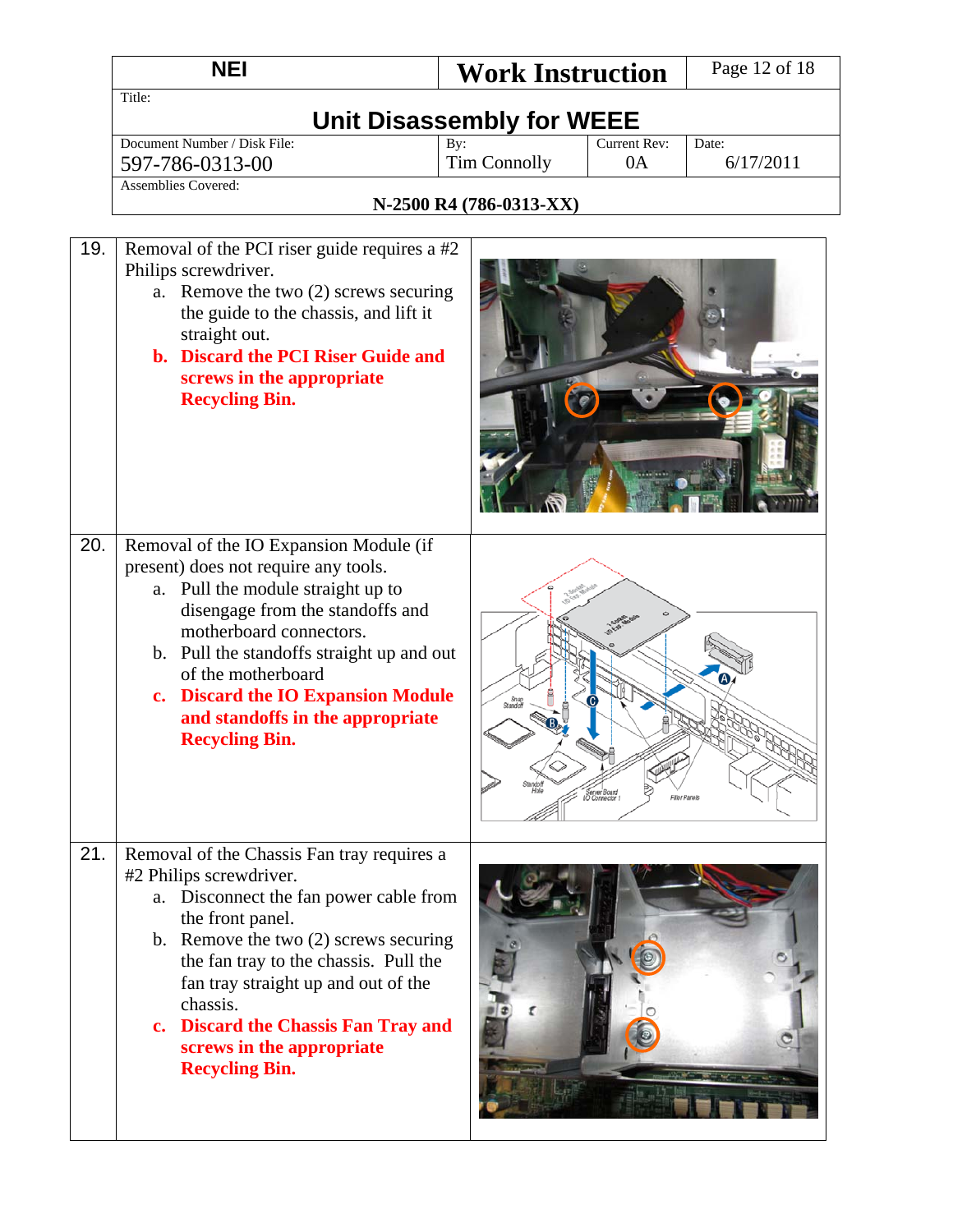|     | <b>NEI</b>                                                                                                                                                                                                                                                                                                                                                              | <b>Work Instruction</b>          |                                              | Page 12 of 18      |
|-----|-------------------------------------------------------------------------------------------------------------------------------------------------------------------------------------------------------------------------------------------------------------------------------------------------------------------------------------------------------------------------|----------------------------------|----------------------------------------------|--------------------|
|     | Title:                                                                                                                                                                                                                                                                                                                                                                  | <b>Unit Disassembly for WEEE</b> |                                              |                    |
|     | Document Number / Disk File:<br>597-786-0313-00                                                                                                                                                                                                                                                                                                                         | By:<br><b>Tim Connolly</b>       | Current Rev:<br>0A                           | Date:<br>6/17/2011 |
|     | <b>Assemblies Covered:</b>                                                                                                                                                                                                                                                                                                                                              | N-2500 R4 (786-0313-XX)          |                                              |                    |
| 19. | Removal of the PCI riser guide requires a #2<br>Philips screwdriver.<br>a. Remove the two (2) screws securing<br>the guide to the chassis, and lift it<br>straight out.<br>b. Discard the PCI Riser Guide and<br>screws in the appropriate<br><b>Recycling Bin.</b>                                                                                                     |                                  |                                              |                    |
| 20. | Removal of the IO Expansion Module (if<br>present) does not require any tools.<br>a. Pull the module straight up to<br>disengage from the standoffs and<br>motherboard connectors.<br>b. Pull the standoffs straight up and out<br>of the motherboard<br>c. Discard the IO Expansion Module<br>and standoffs in the appropriate<br><b>Recycling Bin.</b>                | Snap<br>Standoff                 | Server Board<br>IO Connector<br>Filips Panel |                    |
| 21. | Removal of the Chassis Fan tray requires a<br>#2 Philips screwdriver.<br>a. Disconnect the fan power cable from<br>the front panel.<br>b. Remove the two $(2)$ screws securing<br>the fan tray to the chassis. Pull the<br>fan tray straight up and out of the<br>chassis.<br>c. Discard the Chassis Fan Tray and<br>screws in the appropriate<br><b>Recycling Bin.</b> |                                  |                                              |                    |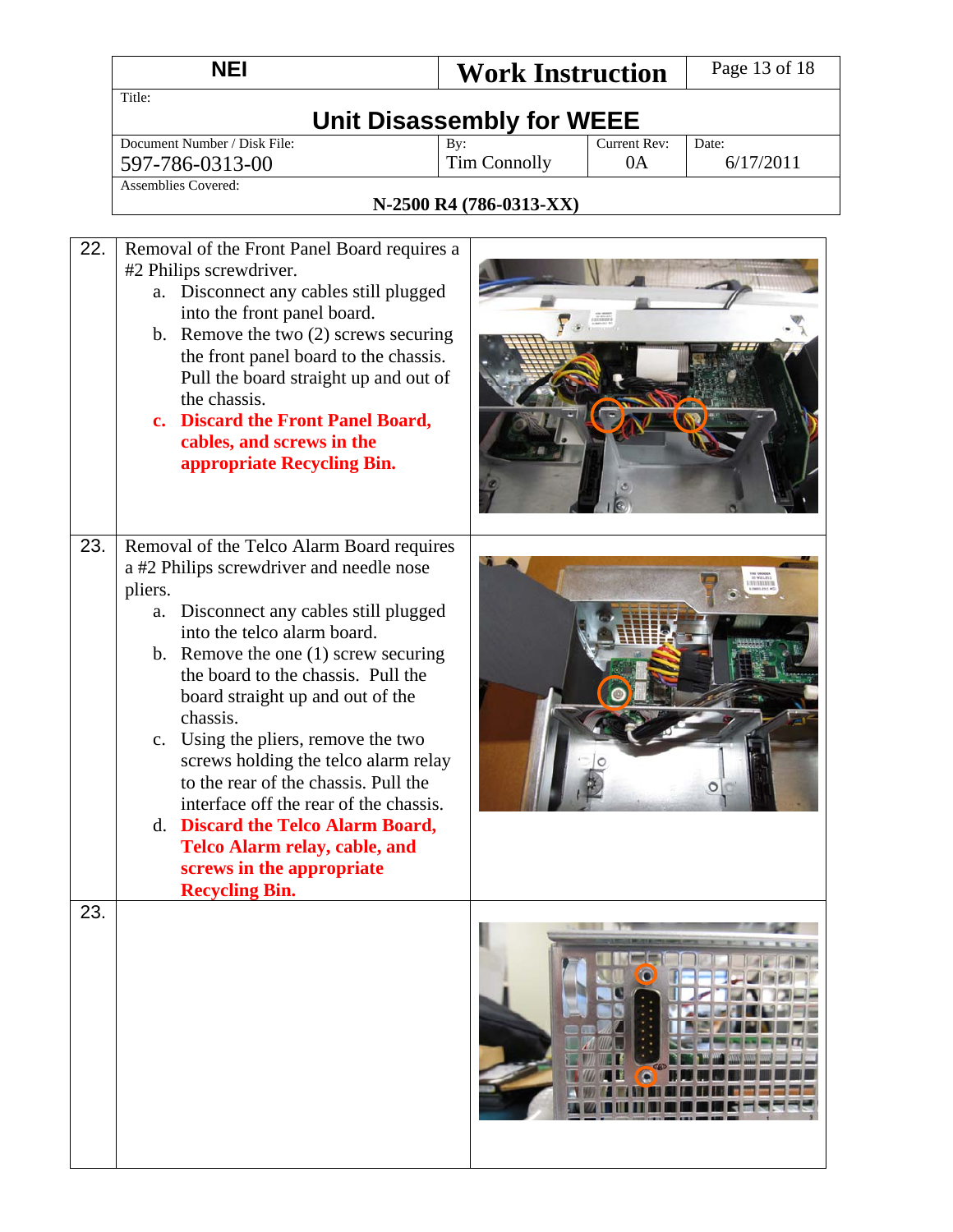|     | <b>NEI</b>                                                                                                                                                                                                                                                                                                                                                                                                                                                                                                                                                                                                       | <b>Work Instruction</b>          | Page 13 of 18      |
|-----|------------------------------------------------------------------------------------------------------------------------------------------------------------------------------------------------------------------------------------------------------------------------------------------------------------------------------------------------------------------------------------------------------------------------------------------------------------------------------------------------------------------------------------------------------------------------------------------------------------------|----------------------------------|--------------------|
|     | Title:                                                                                                                                                                                                                                                                                                                                                                                                                                                                                                                                                                                                           | <b>Unit Disassembly for WEEE</b> |                    |
|     | Document Number / Disk File:                                                                                                                                                                                                                                                                                                                                                                                                                                                                                                                                                                                     | Current Rev:<br>By:<br>0A        | Date:<br>6/17/2011 |
|     | 597-786-0313-00<br><b>Assemblies Covered:</b>                                                                                                                                                                                                                                                                                                                                                                                                                                                                                                                                                                    | <b>Tim Connolly</b>              |                    |
|     |                                                                                                                                                                                                                                                                                                                                                                                                                                                                                                                                                                                                                  | N-2500 R4 (786-0313-XX)          |                    |
|     |                                                                                                                                                                                                                                                                                                                                                                                                                                                                                                                                                                                                                  |                                  |                    |
| 22. | Removal of the Front Panel Board requires a<br>#2 Philips screwdriver.<br>Disconnect any cables still plugged<br>a.<br>into the front panel board.<br>b. Remove the two $(2)$ screws securing<br>the front panel board to the chassis.<br>Pull the board straight up and out of<br>the chassis.<br>c. Discard the Front Panel Board,<br>cables, and screws in the<br>appropriate Recycling Bin.                                                                                                                                                                                                                  |                                  |                    |
| 23. | Removal of the Telco Alarm Board requires<br>a #2 Philips screwdriver and needle nose<br>pliers.<br>Disconnect any cables still plugged<br>a.<br>into the telco alarm board.<br>b. Remove the one $(1)$ screw securing<br>the board to the chassis. Pull the<br>board straight up and out of the<br>chassis.<br>c. Using the pliers, remove the two<br>screws holding the telco alarm relay<br>to the rear of the chassis. Pull the<br>interface off the rear of the chassis.<br>d. Discard the Telco Alarm Board,<br><b>Telco Alarm relay, cable, and</b><br>screws in the appropriate<br><b>Recycling Bin.</b> |                                  |                    |
| 23. |                                                                                                                                                                                                                                                                                                                                                                                                                                                                                                                                                                                                                  |                                  |                    |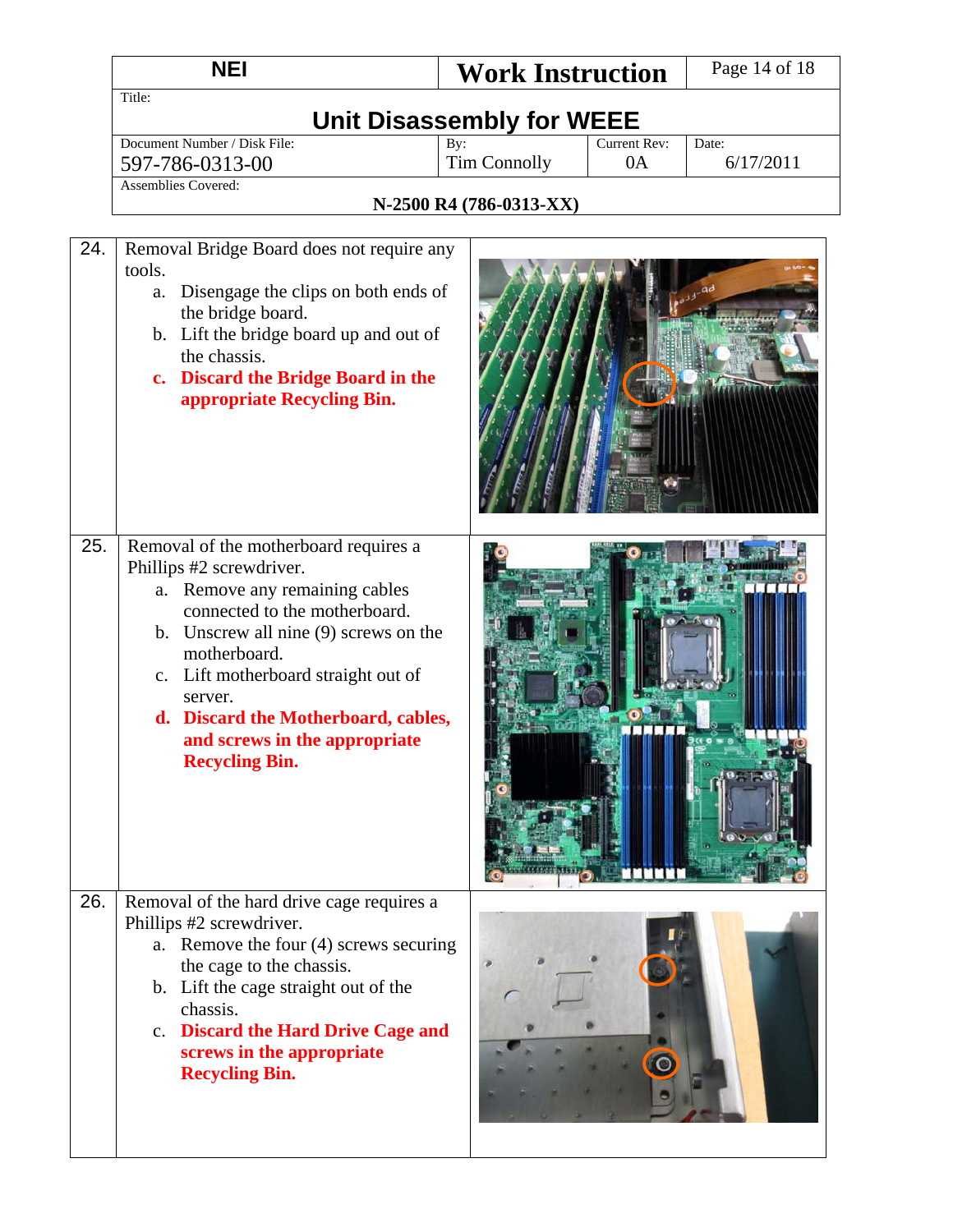|     | <b>NEI</b>                                                                                                                                                                                                                                                                                                                                       | <b>Work Instruction</b>          |                    | Page 14 of 18      |
|-----|--------------------------------------------------------------------------------------------------------------------------------------------------------------------------------------------------------------------------------------------------------------------------------------------------------------------------------------------------|----------------------------------|--------------------|--------------------|
|     | Title:                                                                                                                                                                                                                                                                                                                                           | <b>Unit Disassembly for WEEE</b> |                    |                    |
|     | Document Number / Disk File:<br>By:<br><b>Tim Connolly</b><br>597-786-0313-00                                                                                                                                                                                                                                                                    |                                  | Current Rev:<br>0A | Date:<br>6/17/2011 |
|     | <b>Assemblies Covered:</b>                                                                                                                                                                                                                                                                                                                       |                                  |                    |                    |
|     |                                                                                                                                                                                                                                                                                                                                                  | N-2500 R4 (786-0313-XX)          |                    |                    |
| 24. | Removal Bridge Board does not require any<br>tools.<br>Disengage the clips on both ends of<br>a.<br>the bridge board.<br>b. Lift the bridge board up and out of<br>the chassis.<br>c. Discard the Bridge Board in the<br>appropriate Recycling Bin.                                                                                              |                                  |                    |                    |
| 25. | Removal of the motherboard requires a<br>Phillips #2 screwdriver.<br>a. Remove any remaining cables<br>connected to the motherboard.<br>b. Unscrew all nine (9) screws on the<br>motherboard.<br>c. Lift motherboard straight out of<br>server.<br>d. Discard the Motherboard, cables,<br>and screws in the appropriate<br><b>Recycling Bin.</b> |                                  |                    |                    |
| 26. | Removal of the hard drive cage requires a<br>Phillips #2 screwdriver.<br>a. Remove the four (4) screws securing<br>the cage to the chassis.<br>b. Lift the cage straight out of the<br>chassis.<br>c. Discard the Hard Drive Cage and<br>screws in the appropriate<br><b>Recycling Bin.</b>                                                      |                                  |                    |                    |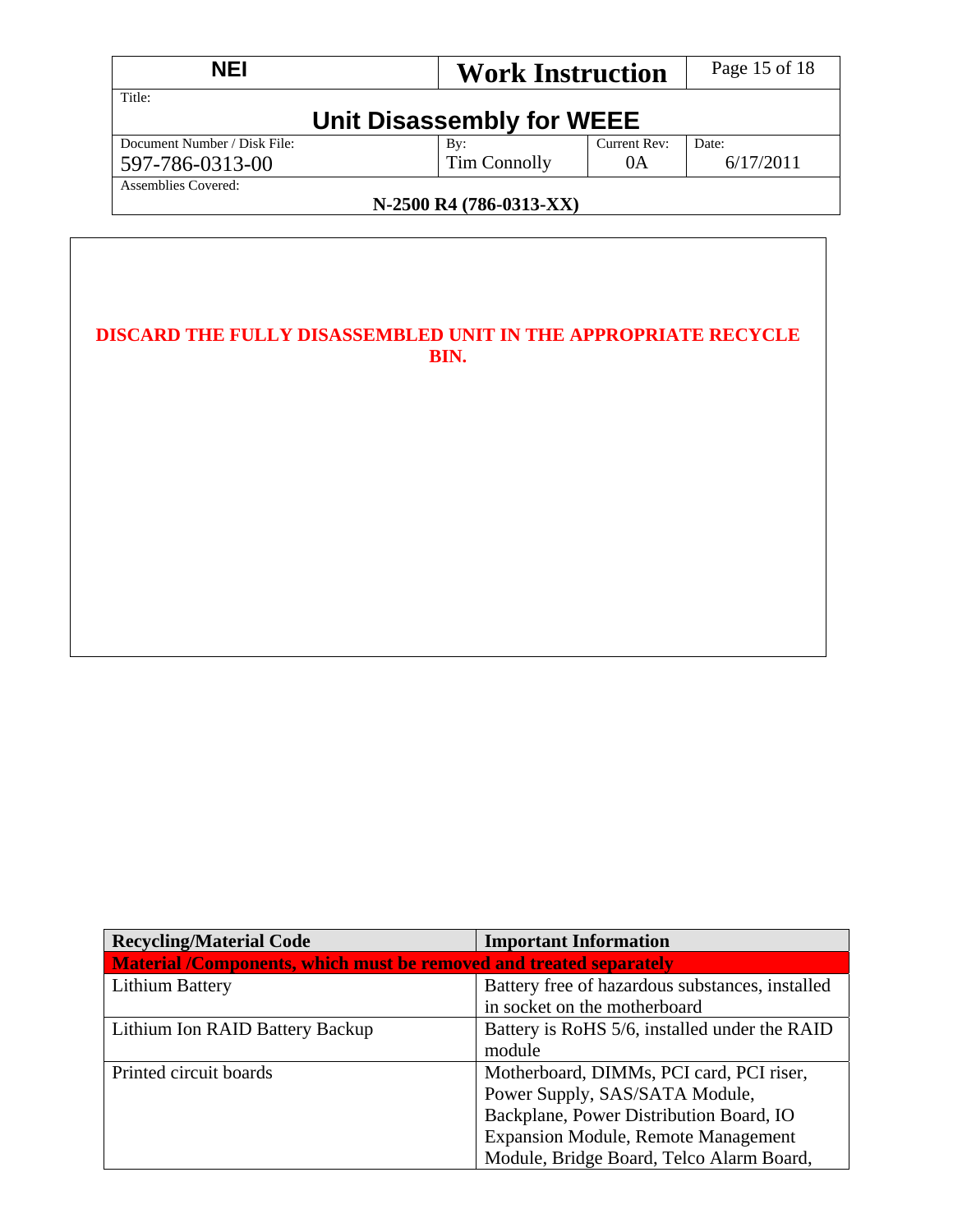| <b>NEI</b>                                     | <b>Work Instruction</b>   |              | Page 15 of 18 |  |
|------------------------------------------------|---------------------------|--------------|---------------|--|
| Title:                                         | Unit Disassembly for WEEE |              |               |  |
| Document Number / Disk File:                   | By:                       | Current Rev: | Date:         |  |
| 597-786-0313-00                                | Tim Connolly              | 0A           | 6/17/2011     |  |
| Assemblies Covered:<br>N-2500 R4 (786-0313-XX) |                           |              |               |  |

### **DISCARD THE FULLY DISASSEMBLED UNIT IN THE APPROPRIATE RECYCLE BIN.**

| <b>Recycling/Material Code</b>                                     | <b>Important Information</b>                    |  |  |
|--------------------------------------------------------------------|-------------------------------------------------|--|--|
| Material /Components, which must be removed and treated separately |                                                 |  |  |
| <b>Lithium Battery</b>                                             | Battery free of hazardous substances, installed |  |  |
|                                                                    | in socket on the motherboard                    |  |  |
| Lithium Ion RAID Battery Backup                                    | Battery is RoHS 5/6, installed under the RAID   |  |  |
|                                                                    | module                                          |  |  |
| Printed circuit boards                                             | Motherboard, DIMMs, PCI card, PCI riser,        |  |  |
|                                                                    | Power Supply, SAS/SATA Module,                  |  |  |
|                                                                    | Backplane, Power Distribution Board, IO         |  |  |
|                                                                    | <b>Expansion Module, Remote Management</b>      |  |  |
|                                                                    | Module, Bridge Board, Telco Alarm Board,        |  |  |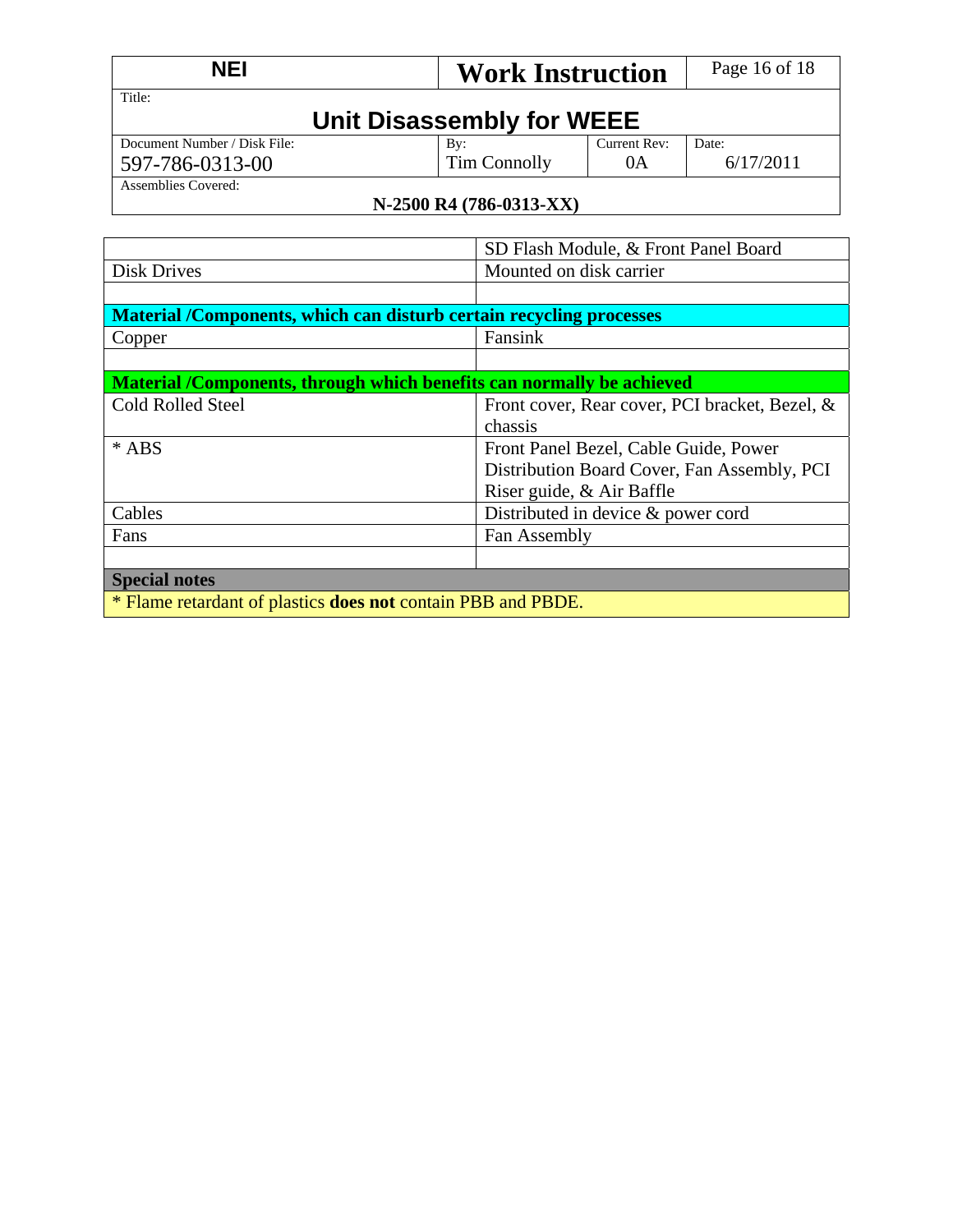| <b>NEI</b>                                      | <b>Work Instruction</b>   |                    | Page 16 of 18      |
|-------------------------------------------------|---------------------------|--------------------|--------------------|
| Title:                                          | Unit Disassembly for WEEE |                    |                    |
| Document Number / Disk File:<br>597-786-0313-00 | By:<br>Tim Connolly       | Current Rev:<br>0A | Date:<br>6/17/2011 |
| Assemblies Covered:                             | N-2500 R4 (786-0313-XX)   |                    |                    |

|                                                                       | SD Flash Module, & Front Panel Board           |  |  |
|-----------------------------------------------------------------------|------------------------------------------------|--|--|
| <b>Disk Drives</b>                                                    | Mounted on disk carrier                        |  |  |
|                                                                       |                                                |  |  |
| Material /Components, which can disturb certain recycling processes   |                                                |  |  |
| Copper                                                                | Fansink                                        |  |  |
|                                                                       |                                                |  |  |
| Material /Components, through which benefits can normally be achieved |                                                |  |  |
| <b>Cold Rolled Steel</b>                                              | Front cover, Rear cover, PCI bracket, Bezel, & |  |  |
|                                                                       | chassis                                        |  |  |
| $*$ ABS<br>Front Panel Bezel, Cable Guide, Power                      |                                                |  |  |
|                                                                       | Distribution Board Cover, Fan Assembly, PCI    |  |  |
|                                                                       | Riser guide, & Air Baffle                      |  |  |
| Cables                                                                | Distributed in device $\&$ power cord          |  |  |
| Fan Assembly<br>Fans                                                  |                                                |  |  |
|                                                                       |                                                |  |  |
| <b>Special notes</b>                                                  |                                                |  |  |
| * Flame retardant of plastics <b>does not</b> contain PBB and PBDE.   |                                                |  |  |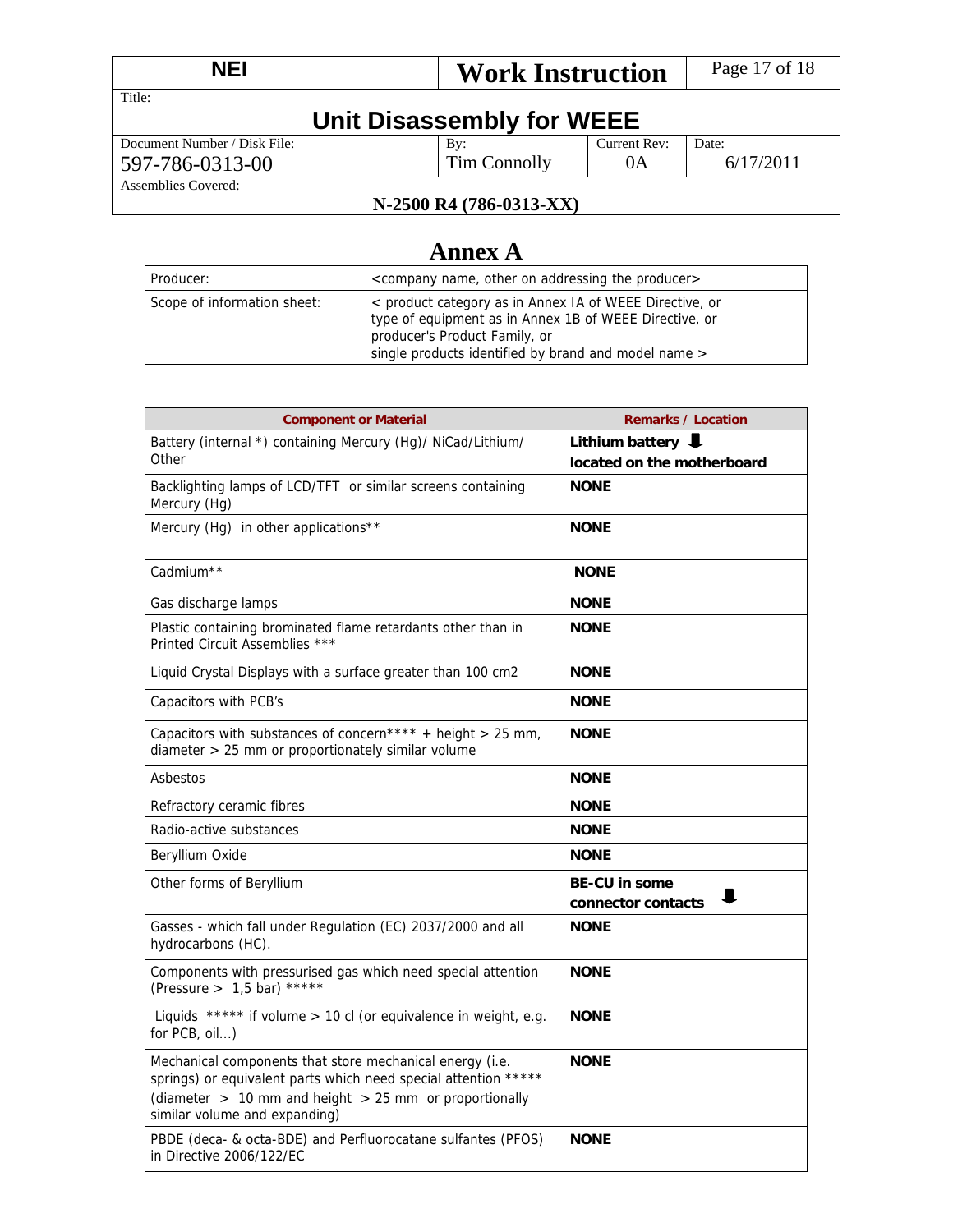| <b>NEI</b>                   | <b>Work Instruction</b>   |              | Page 17 of 18 |  |
|------------------------------|---------------------------|--------------|---------------|--|
| Title:                       | Unit Disassembly for WEEE |              |               |  |
| Document Number / Disk File: | By:                       | Current Rev: | Date:         |  |
| 597-786-0313-00              | Tim Connolly              | 0A           | 6/17/2011     |  |
| Assemblies Covered:          |                           |              |               |  |
| N-2500 R4 (786-0313-XX)      |                           |              |               |  |

#### **N-2500 R4 (786-0313-XX)**

# **Annex A**

| Producer:                   | <company addressing="" name,="" on="" other="" producer="" the=""></company>                                                                                                                               |
|-----------------------------|------------------------------------------------------------------------------------------------------------------------------------------------------------------------------------------------------------|
| Scope of information sheet: | < product category as in Annex IA of WEEE Directive, or<br>type of equipment as in Annex 1B of WEEE Directive, or<br>producer's Product Family, or<br>single products identified by brand and model name > |

| <b>Component or Material</b>                                                                                                                                                                                               | <b>Remarks / Location</b>                       |
|----------------------------------------------------------------------------------------------------------------------------------------------------------------------------------------------------------------------------|-------------------------------------------------|
| Battery (internal *) containing Mercury (Hg)/ NiCad/Lithium/                                                                                                                                                               | Lithium battery $\big\downarrow$                |
| Other                                                                                                                                                                                                                      | located on the motherboard                      |
| Backlighting lamps of LCD/TFT or similar screens containing<br>Mercury (Hg)                                                                                                                                                | <b>NONE</b>                                     |
| Mercury (Hg) in other applications**                                                                                                                                                                                       | <b>NONE</b>                                     |
| Cadmium <sup>**</sup>                                                                                                                                                                                                      | <b>NONE</b>                                     |
| Gas discharge lamps                                                                                                                                                                                                        | <b>NONE</b>                                     |
| Plastic containing brominated flame retardants other than in<br>Printed Circuit Assemblies ***                                                                                                                             | <b>NONE</b>                                     |
| Liquid Crystal Displays with a surface greater than 100 cm2                                                                                                                                                                | <b>NONE</b>                                     |
| Capacitors with PCB's                                                                                                                                                                                                      | <b>NONE</b>                                     |
| Capacitors with substances of concern**** + height > 25 mm,<br>diameter > 25 mm or proportionately similar volume                                                                                                          | <b>NONE</b>                                     |
| Asbestos                                                                                                                                                                                                                   | <b>NONE</b>                                     |
| Refractory ceramic fibres                                                                                                                                                                                                  | <b>NONE</b>                                     |
| Radio-active substances                                                                                                                                                                                                    | <b>NONE</b>                                     |
| Beryllium Oxide                                                                                                                                                                                                            | <b>NONE</b>                                     |
| Other forms of Beryllium                                                                                                                                                                                                   | <b>BE-CU in some</b><br>ш<br>connector contacts |
| Gasses - which fall under Regulation (EC) 2037/2000 and all<br>hydrocarbons (HC).                                                                                                                                          | <b>NONE</b>                                     |
| Components with pressurised gas which need special attention<br>(Pressure > $1,5$ bar) *****                                                                                                                               | <b>NONE</b>                                     |
| Liquids ***** if volume > 10 cl (or equivalence in weight, e.g.<br>for PCB, oil)                                                                                                                                           | <b>NONE</b>                                     |
| Mechanical components that store mechanical energy (i.e.<br>springs) or equivalent parts which need special attention *****<br>(diameter $> 10$ mm and height $> 25$ mm or proportionally<br>similar volume and expanding) | <b>NONE</b>                                     |
| PBDE (deca- & octa-BDE) and Perfluorocatane sulfantes (PFOS)<br>in Directive 2006/122/EC                                                                                                                                   | <b>NONE</b>                                     |